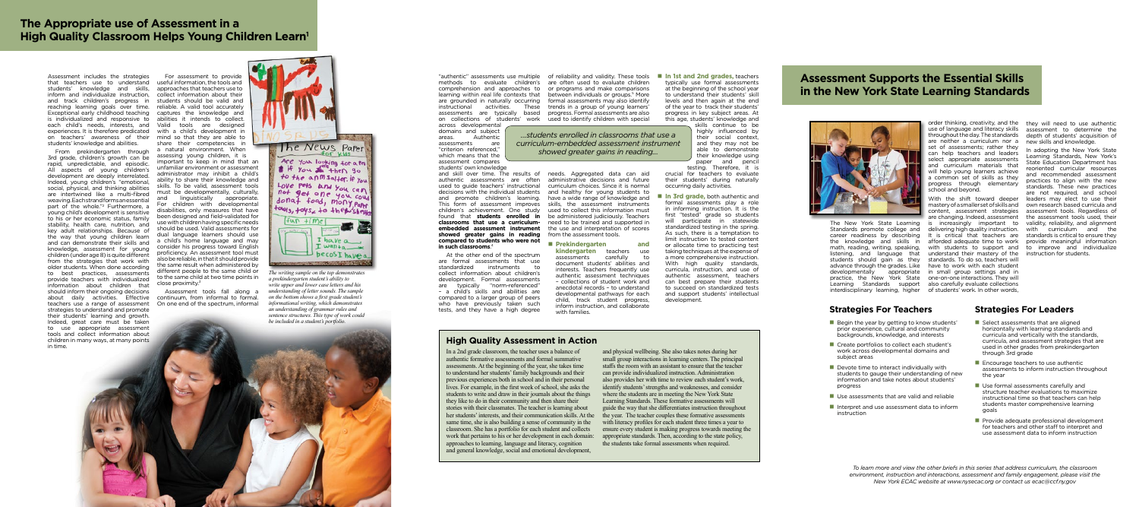**High Quality Assessment in Action**

In a 2nd grade classroom, the teacher uses a balance of authentic formative assessments and formal summative assessments. At the beginning of the year, she takes time to understand her students' family backgrounds and their previous experiences both in school and in their personal lives. For example, in the first week of school, she asks the students to write and draw in their journals about the things they like to do in their community and then share their stories with their classmates. The teacher is learning about her students' interests, and their communication skills. At the same time, she is also building a sense of community in the classroom. She has a portfolio for each student and collects work that pertains to his or her development in each domain: approaches to learning, language and literacy, cognition and general knowledge, social and emotional development,

- $\blacksquare$  Begin the year by getting to know students' prior experience, cultural and community backgrounds, knowledge, and interests
- $\blacksquare$  Create portfolios to collect each student's work across developmental domains and subject areas
- $\blacksquare$  Devote time to interact individually with students to gauge their understanding of new information and take notes about students' progress
- $\blacksquare$  Use assessments that are valid and reliable
- $\blacksquare$  Interpret and use assessment data to inform instruction

"authentic" assessments use multiple of reliability and validity. These tools methods to evaluate children's are often used to evaluate children comprehension and approaches to or programs and make comparisons assessments are typically based progress. Formal assessments are also on collections of students' work used to identify children with special between individuals or groups.<sup>5</sup> More formal assessments may also identify These trends in a group of young learners'

> and physical wellbeing. She also takes notes during her small group interactions in learning centers. The principal staffs the room with an assistant to ensure that the teacher can provide individualized instruction. Administration also provides her with time to review each student's work, identify students' strengths and weaknesses, and consider where the students are in meeting the New York State Learning Standards. These formative assessments will guide the way that she differentiates instruction throughout the year. The teacher couples these formative assessments with literacy profiles for each student three times a year to ensure every student is making progress towards meeting the appropriate standards. Then, according to the state policy, the students take formal assessments when required.

**n** Prekindergarten and **kindergarten** teachers use assessments carefully to document students' abilities and interests. Teachers frequently use authentic assessment techniques – collections of student work and anecdotal records – to understand developmental pathways for each child, track student progress, inform instruction, and collaborate with families.

**n** In 1st and 2nd grades, teachers typically use formal assessments at the beginning of the school year to understand their students' skill levels and then again at the end of the year to track their students' progress in key subject areas. At this age, students' knowledge and

learning within real life contexts that are grounded in naturally occurring instructional activities. across developmental

domains and subject areas. Authentic assessments are "criterion referenced," which means that the assessment compares

> **In 3rd grade,** both authentic and formal assessments play a role in informing instruction. It is the first "tested" grade so students will participate in statewide standardized testing in the spring. As such, there is a temptation to limit instruction to tested content or allocate time to practicing test taking techniques at the expense of a more comprehensive instruction. With high quality standards, curricula, instruction, and use of authentic assessment, teachers can best prepare their students to succeed on standardized tests and support students' intellectual development.

students' own knowledge and skill over time. The results of needs. Aggregated data can aid authentic assessments are often used to guide teachers' instructional decisions with the individual students and promote children's learning. This form of assessment improves children's achievement. One study found that **students enrolled in classrooms that use a curriculumembedded assessment instrument showed greater gains in reading compared to students who were not in such classrooms**. 4

- $\blacksquare$  Select assessments that are aligned horizontally with learning standards and curricula and vertically with the standards, curricula, and assessment strategies that are used in other grades from prekindergarten through 3rd grade
- $\blacksquare$  Encourage teachers to use authentic assessments to inform instruction throughout the year
- $\blacksquare$  Use formal assessments carefully and structure teacher evaluations to maximize instructional time so that teachers can help students master comprehensive learning goals
- $\blacksquare$  Provide adequate professional development for teachers and other staff to interpret and use assessment data to inform instruction

At the other end of the spectrum are formal assessments that use standardized instruments to collect information about children's development. Formal assessments are typically "norm-referenced" – a child's skills and abilities are compared to a larger group of peers who have previously taken such tests, and they have a high degree

administrative decisions and future curriculum choices. Since it is normal and healthy for young students to have a wide range of knowledge and skills, the assessment instruments used to collect this information must be administered judiciously. Teachers need to be trained and supported in the use and interpretation of scores from the assessment tools.

# **The Appropriate use of Assessment in a High Quality Classroom Helps Young Children Learn1**

skills continue to be highly influenced by their social context, and they may not be able to demonstrate their knowledge using paper and pencil testing. Therefore, it is

crucial for teachers to evaluate their students' during naturally occurring daily activities.

order thinking, creativity, and the they will need to use authentic assessment to determine the depth of students' acquisition of new skills and knowledge.

## **Strategies For Teachers Strategies For Leaders**

Assessment includes the strategies that teachers use to understand students' knowledge and skills, inform and individualize instruction, and track children's progress in reaching learning goals over time. Exceptional early childhood teaching is individualized and responsive to each child's needs, interests, and experiences. It is therefore predicated on teachers' awareness of their students' knowledge and abilities.

From prekindergarten through 3rd grade, children's growth can be rapid, unpredictable, and episodic. All aspects of young children's development are deeply interrelated. Indeed, young children's "emotional, social, physical, and thinking abilities are intertwined like a multi-fibred weaving. Each strand forms an essential part of the whole."2 Furthermore, a young child's development is sensitive to his or her economic status, family stability, health care, nutrition, and key adult relationships. Because of the way that young children learn and can demonstrate their skills and knowledge, assessment for young children (under age 8) is quite different from the strategies that work with older students. When done according to best practices, assessments provide teachers with individualized information about children that should inform their ongoing decisions about daily activities. Effective teachers use a range of assessment strategies to understand and promote their students' learning and growth. Indeed, great care must be taken to use appropriate assessment tools and collect information about children in many ways, at many points in time.

For assessment to provide useful information, the tools and approaches that teachers use to collect information about their students should be valid and reliable. A valid tool accurately captures the knowledge and abilities it intends to collect. Valid tools are designed with a child's development in mind so that they are able to share their competencies in a natural environment. When assessing young children, it is important to keep in mind that an unfamiliar environment or assessment administrator may inhibit a child's ability to share their knowledge and skills. To be valid, assessment tools must be developmentally, culturally, and linguistically appropriate. For children with developmental disabilities, only measures that have been designed and field-validated for use with children having specific needs should be used. Valid assessments for dual language learners should use a child's home language and may consider his progress toward English proficiency. An assessment tool must also be reliable, in that it should provide the same result when administered by different people to the same child or to the same child at two time points in close proximity.3

Assessment tools fall along a continuum, from informal to formal. On one end of the spectrum, informal



The New York State Learning Standards promote college and career readiness by describing math, reading, writing, speaking, listening, and language that students should gain as they advance through the grades. Like developmentally appropriate practice, the New York State Learning Standards support interdisciplinary learning, higher

use of language and literacy skills throughout the day. The standards are neither a curriculum nor a set of assessments; rather they can help teachers and leaders select appropriate assessments and curriculum materials that will help young learners achieve a common set of skills as they progress through elementary school and beyond.

the knowledge and skills in afforded adequate time to work With the shift toward deeper mastery of a smaller set of skills and content, assessment strategies are changing. Indeed, assessment is increasingly important to delivering high quality instruction. It is critical that teachers are standards is critical to ensure they with students to support and understand their mastery of the standards. To do so, teachers will have to work with each student in small group settings and in one-on-one interactions. They will also carefully evaluate collections of students' work. In other words,

In adopting the New York State Learning Standards, New York's State Education Department has reoriented curricular resources and recommended assessment practices to align with the new standards. These new practices are not required, and school leaders may elect to use their own research based curricula and assessment tools. Regardless of the assessment tools used, their validity, reliability, and alignment with curriculum and the provide meaningful information to improve and individualize instruction for students.

*…students enrolled in classrooms that use a curriculum-embedded assessment instrument showed greater gains in reading…* 

# **Assessment Supports the Essential Skills in the New York State Learning Standards**



*The writing sample on the top demonstrates a prekindergarten student's ability to write upper and lower case letters and his understanding of letter sounds. The sample on the bottom shows a first grade student's informational writing, which demonstrates an understanding of grammar rules and sentence structures. This type of work could be included in a student's portfolio.*

> *To learn more and view the other briefs in this series that address curriculum, the classroom environment, instruction and interactions, assessment and family engagement, please visit the New York ECAC website at www.nysecac.org or contact us ecac@ccf.ny.gov*